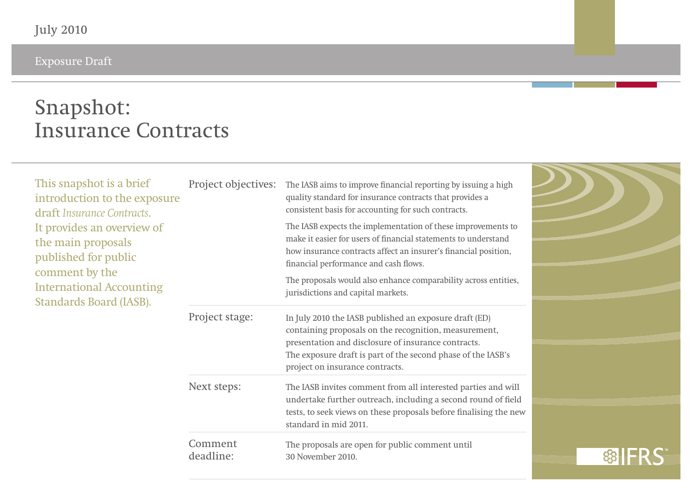Exposure Draft

## **Snapshot: Insurance Contracts**

| This snapshot is a brief<br>introduction to the exposure<br>draft Insurance Contracts.<br>It provides an overview of<br>the main proposals<br>published for public<br>comment by the<br><b>International Accounting</b><br>Standards Board (IASB). | Project objectives:  | The IASB aims to improve financial reporting by issuing a high<br>quality standard for insurance contracts that provides a<br>consistent basis for accounting for such contracts.                                                                                         |  |
|----------------------------------------------------------------------------------------------------------------------------------------------------------------------------------------------------------------------------------------------------|----------------------|---------------------------------------------------------------------------------------------------------------------------------------------------------------------------------------------------------------------------------------------------------------------------|--|
|                                                                                                                                                                                                                                                    |                      | The IASB expects the implementation of these improvements to<br>make it easier for users of financial statements to understand<br>how insurance contracts affect an insurer's financial position,<br>financial performance and cash flows.                                |  |
|                                                                                                                                                                                                                                                    |                      | The proposals would also enhance comparability across entities,<br>jurisdictions and capital markets.                                                                                                                                                                     |  |
|                                                                                                                                                                                                                                                    | Project stage:       | In July 2010 the IASB published an exposure draft (ED)<br>containing proposals on the recognition, measurement,<br>presentation and disclosure of insurance contracts.<br>The exposure draft is part of the second phase of the IASB's<br>project on insurance contracts. |  |
|                                                                                                                                                                                                                                                    | Next steps:          | The IASB invites comment from all interested parties and will<br>undertake further outreach, including a second round of field<br>tests, to seek views on these proposals before finalising the new<br>standard in mid 2011.                                              |  |
|                                                                                                                                                                                                                                                    | Comment<br>deadline: | The proposals are open for public comment until<br>30 November 2010.                                                                                                                                                                                                      |  |

 $\geq$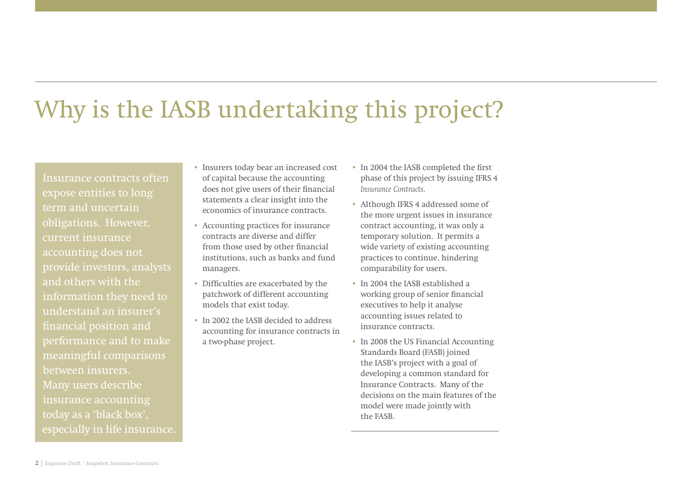## Why is the IASB undertaking this project?

Insurance contracts often expose entities to long term and uncertain obligations. However, current insurance accounting does not provide investors, analysts and others with the information they need to understand an insurer's performance and to make meaningful comparisons between insurers. Many users describe insurance accounting today as a 'black box', especially in life insurance.

- Insurers today bear an increased cost of capital because the accounting does not give users of their financial statements a clear insight into the economics of insurance contracts.
- Accounting practices for insurance contracts are diverse and differ from those used by other financial institutions, such as banks and fund managers.
- Difficulties are exacerbated by the patchwork of different accounting models that exist today.
- In 2002 the IASB decided to address accounting for insurance contracts in a two-phase project.
- In 2004 the IASB completed the first phase of this project by issuing IFRS 4 *Insurance Contracts*.
- Although IFRS 4 addressed some of the more urgent issues in insurance contract accounting, it was only a temporary solution. It permits a wide variety of existing accounting practices to continue, hindering comparability for users.
- In 2004 the IASB established a working group of senior financial executives to help it analyse accounting issues related to insurance contracts.
- In 2008 the US Financial Accounting Standards Board (FASB) joined the IASB's project with a goal of developing a common standard for Insurance Contracts. Many of the decisions on the main features of the model were made jointly with the FASB.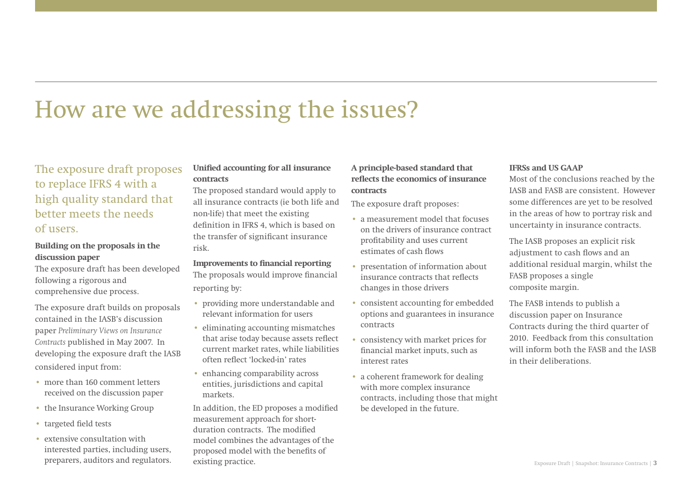## How are we addressing the issues?

## **The exposure draft proposes to replace IFRS 4 with a high quality standard that better meets the needsof users.**

### **Building on the proposals in the discussion paper**

The exposure draft has been developed following a rigorous and comprehensive due process.

The exposure draft builds on proposals contained in the IASB's discussion paper *Preliminary Views on Insurance Contracts* published in May 2007. In developing the exposure draft the IASB considered input from:

- more than 160 comment letters received on the discussion paper
- the Insurance Working Group
- targeted field tests
- extensive consultation with interested parties, including users, preparers, auditors and regulators.

## **Unified accounting for all insurance contracts**

The proposed standard would apply to all insurance contracts (ie both life and non-life) that meet the existing definition in IFRS 4, which is based on the transfer of significant insurance risk.

### **Improvements to financial reporting**

The proposals would improve financial reporting by:

- providing more understandable and relevant information for users
- eliminating accounting mismatches that arise today because assets reflect current market rates, while liabilities often reflect 'locked-in' rates
- enhancing comparability across entities, jurisdictions and capital markets.

In addition, the ED proposes a modified measurement approach for shortduration contracts. The modified model combines the advantages of the proposed model with the benefits of existing practice.

## **A principle-based standard that**  reflects the economics of insurance **contracts**

The exposure draft proposes:

- a measurement model that focuses on the drivers of insurance contract profi tability and uses current estimates of cash flows
- presentation of information about insurance contracts that reflects changes in those drivers
- consistent accounting for embedded options and guarantees in insurance contracts
- consistency with market prices for financial market inputs, such as interest rates
- a coherent framework for dealing with more complex insurance contracts, including those that might be developed in the future.

### **IFRSs and US GAAP**

Most of the conclusions reached by the IASB and FASB are consistent. However some differences are yet to be resolved in the areas of how to portray risk and uncertainty in insurance contracts.

The IASB proposes an explicit risk adjustment to cash flows and an additional residual margin, whilst the FASB proposes a single composite margin.

The FASB intends to publish a discussion paper on Insurance Contracts during the third quarter of 2010. Feedback from this consultation will inform both the FASB and the IASB in their deliberations.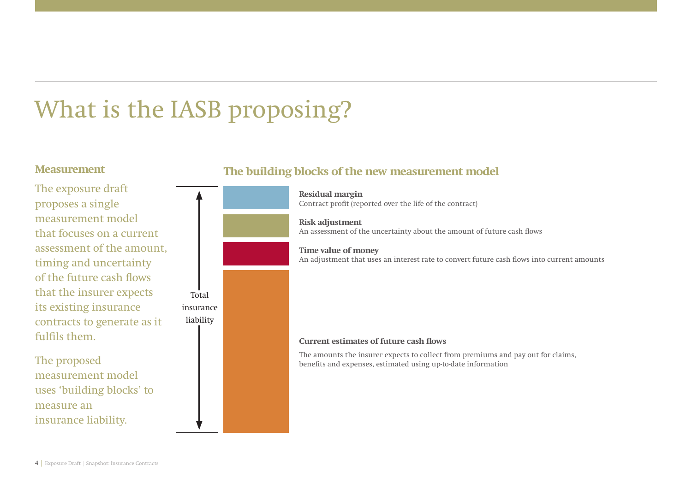# What is the IASB proposing?

Total insurance liability

## **Measurement**

The exposure draft proposes a single measurement model that focuses on a current assessment of the amount, timing and uncertainty of the future cash flows that the insurer expects its existing insurance contracts to generate as it fulfils them.

The proposed measurement model uses 'building blocks' to measure aninsurance liability.

## **The building blocks of the new measurement model**

**Residual margin** Contract profit (reported over the life of the contract)

**Risk adjustment** An assessment of the uncertainty about the amount of future cash flows

**Time value of money** An adjustment that uses an interest rate to convert future cash flows into current amounts

### **Current estimates of future cash flows**

The amounts the insurer expects to collect from premiums and pay out for claims, benefits and expenses, estimated using up-to-date information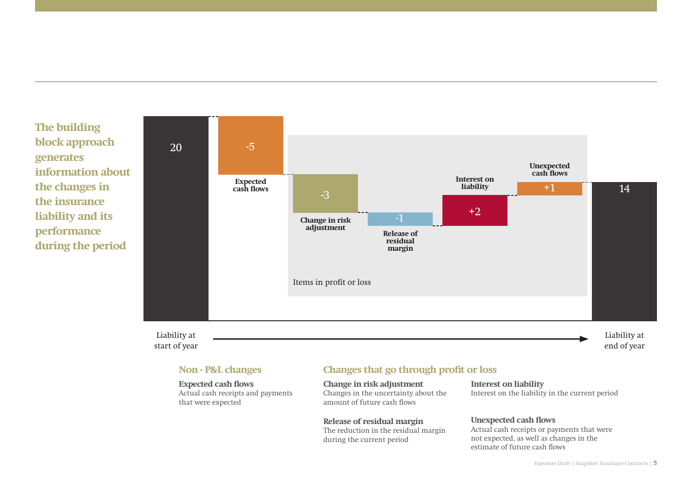**The building block approach generates information about the changes in the insurance liability and its performance during the period**



### Liability at start of year

**Expected cash flows** Actual cash receipts and payments that were expected

## **Non - P&L changes Changes that go through profit or loss**

**Change in risk adjustment** Changes in the uncertainty about the amount of future cash flows

**Release of residual margin** The reduction in the residual margin during the current period

#### **Interest on liability** Interest on the liability in the current period

### **Unexpected cash flows**

Actual cash receipts or payments that were not expected, as well as changes in the estimate of future cash flows

end of year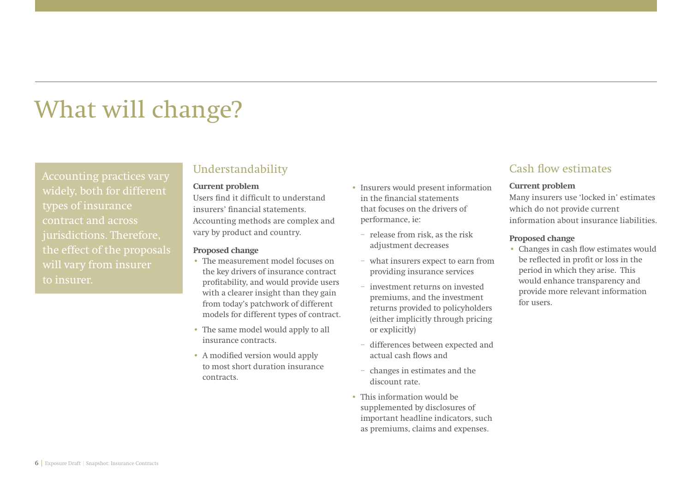## What will change?

Accounting practices vary widely, both for different types of insurance contract and across jurisdictions. Therefore, the effect of the proposals will vary from insurer to insurer.

## **Understandability**

#### **Current problem**

Users find it difficult to understand insurers' financial statements Accounting methods are complex and vary by product and country.

### **Proposed change**

- The measurement model focuses on the key drivers of insurance contract profitability, and would provide users with a clearer insight than they gain from today's patchwork of different models for different types of contract.
- The same model would apply to all insurance contracts.
- A modified version would apply to most short duration insurance contracts.
- Insurers would present information in the financial statements that focuses on the drivers of performance, ie:
	- release from risk, as the risk adjustment decreases
	- what insurers expect to earn from providing insurance services
	- investment returns on invested premiums, and the investment returns provided to policyholders (either implicitly through pricing or explicitly)
	- differences between expected and actual cash flows and
	- changes in estimates and the discount rate.
- This information would be supplemented by disclosures of important headline indicators, such as premiums, claims and expenses.

## **Cash flow estimates**

#### **Current problem**

Many insurers use 'locked in' estimates which do not provide current information about insurance liabilities.

#### **Proposed change**

• Changes in cash flow estimates would be reflected in profit or loss in the period in which they arise. This would enhance transparency and provide more relevant information for users.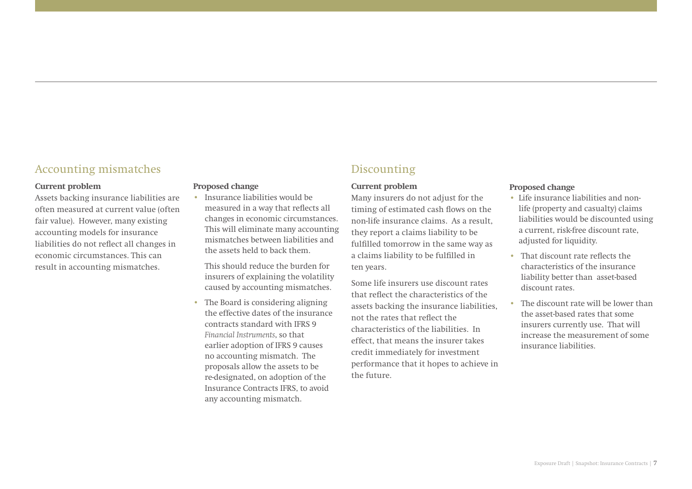## **Accounting mismatches**

#### **Current problem**

Assets backing insurance liabilities are often measured at current value (often fair value). However, many existing accounting models for insurance liabilities do not reflect all changes in economic circumstances. This can result in accounting mismatches.

### **Proposed change**

• Insurance liabilities would be measured in a way that reflects all changes in economic circumstances. This will eliminate many accounting mismatches between liabilities and the assets held to back them.

This should reduce the burden for insurers of explaining the volatility caused by accounting mismatches.

• The Board is considering aligning the effective dates of the insurance contracts standard with IFRS 9 *Financial Instruments*, so that earlier adoption of IFRS 9 causes no accounting mismatch. The proposals allow the assets to be re-designated, on adoption of the Insurance Contracts IFRS, to avoid any accounting mismatch.

## **Discounting**

#### **Current problem**

Many insurers do not adjust for the timing of estimated cash flows on the non-life insurance claims. As a result, they report a claims liability to be fulfilled tomorrow in the same way as a claims liability to be fulfilled in ten years.

Some life insurers use discount rates that reflect the characteristics of the assets backing the insurance liabilities, not the rates that reflect the characteristics of the liabilities. In effect, that means the insurer takes credit immediately for investment performance that it hopes to achieve in the future.

### **Proposed change**

- Life insurance liabilities and nonlife (property and casualty) claims liabilities would be discounted using a current, risk-free discount rate, adjusted for liquidity.
- $\cdot$  That discount rate reflects the characteristics of the insurance liability better than asset-based discount rates.
- The discount rate will be lower than the asset-based rates that some insurers currently use. That will increase the measurement of some insurance liabilities.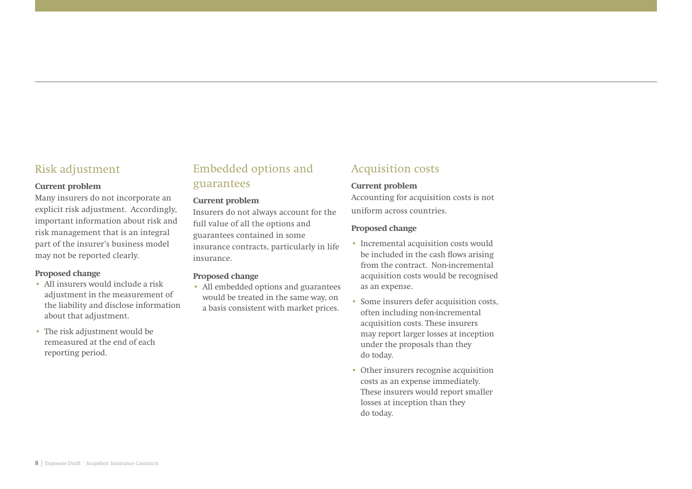## **Risk adjustment**

#### **Current problem**

Many insurers do not incorporate an explicit risk adjustment. Accordingly, important information about risk and risk management that is an integral part of the insurer's business model may not be reported clearly.

#### **Proposed change**

- All insurers would include a risk adjustment in the measurement of the liability and disclose information about that adjustment.
- The risk adjustment would be remeasured at the end of each reporting period.

## **Embedded options and guarantees**

### **Current problem**

Insurers do not always account for the full value of all the options and guarantees contained in some insurance contracts, particularly in life insurance.

### **Proposed change**

• All embedded options and guarantees would be treated in the same way, on a basis consistent with market prices.

## **Acquisition costs**

#### **Current problem**

Accounting for acquisition costs is not uniform across countries.

#### **Proposed change**

- Incremental acquisition costs would be included in the cash flows arising from the contract. Non-incremental acquisition costs would be recognised as an expense.
- Some insurers defer acquisition costs, often including non-incremental acquisition costs. These insurers may report larger losses at inception under the proposals than they do today.
- Other insurers recognise acquisition costs as an expense immediately. These insurers would report smaller losses at inception than they do today.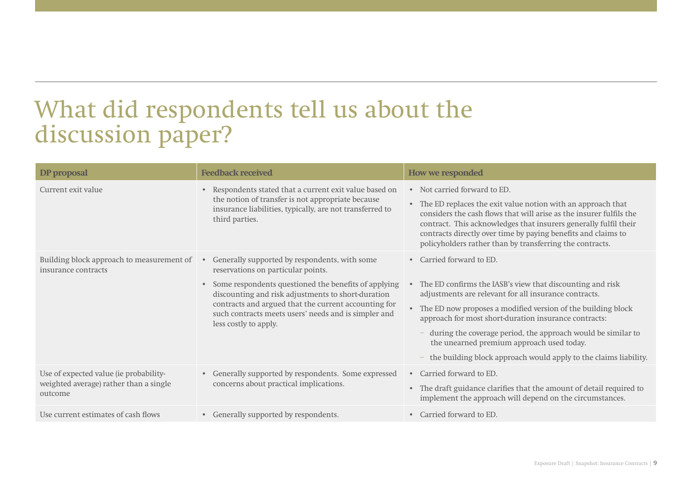## What did respondents tell us about the discussion paper?

| DP proposal                                                                                 | <b>Feedback received</b>                                                                                                                                                                                                                                                                                                                                                           | <b>How we responded</b>                                                                                                                                                                                                                                                                                                                                                                                                                                             |
|---------------------------------------------------------------------------------------------|------------------------------------------------------------------------------------------------------------------------------------------------------------------------------------------------------------------------------------------------------------------------------------------------------------------------------------------------------------------------------------|---------------------------------------------------------------------------------------------------------------------------------------------------------------------------------------------------------------------------------------------------------------------------------------------------------------------------------------------------------------------------------------------------------------------------------------------------------------------|
| Current exit value                                                                          | Respondents stated that a current exit value based on<br>the notion of transfer is not appropriate because<br>insurance liabilities, typically, are not transferred to<br>third parties.                                                                                                                                                                                           | • Not carried forward to ED.<br>The ED replaces the exit value notion with an approach that<br>$\bullet$<br>considers the cash flows that will arise as the insurer fulfils the<br>contract. This acknowledges that insurers generally fulfil their<br>contracts directly over time by paying benefits and claims to<br>policyholders rather than by transferring the contracts.                                                                                    |
| Building block approach to measurement of<br>insurance contracts                            | Generally supported by respondents, with some<br>$\qquad \qquad \bullet$<br>reservations on particular points.<br>Some respondents questioned the benefits of applying<br>$\bullet$<br>discounting and risk adjustments to short-duration<br>contracts and argued that the current accounting for<br>such contracts meets users' needs and is simpler and<br>less costly to apply. | Carried forward to ED.<br>$\bullet$<br>The ED confirms the IASB's view that discounting and risk<br>adjustments are relevant for all insurance contracts.<br>The ED now proposes a modified version of the building block<br>approach for most short-duration insurance contracts:<br>during the coverage period, the approach would be similar to<br>the unearned premium approach used today.<br>the building block approach would apply to the claims liability. |
| Use of expected value (ie probability-<br>weighted average) rather than a single<br>outcome | Generally supported by respondents. Some expressed<br>$\bullet$<br>concerns about practical implications.                                                                                                                                                                                                                                                                          | Carried forward to ED.<br>$\bullet$<br>The draft guidance clarifies that the amount of detail required to<br>$\bullet$<br>implement the approach will depend on the circumstances.                                                                                                                                                                                                                                                                                  |
| Use current estimates of cash flows                                                         | Generally supported by respondents.<br>$\bullet$                                                                                                                                                                                                                                                                                                                                   | Carried forward to ED.<br>$\bullet$                                                                                                                                                                                                                                                                                                                                                                                                                                 |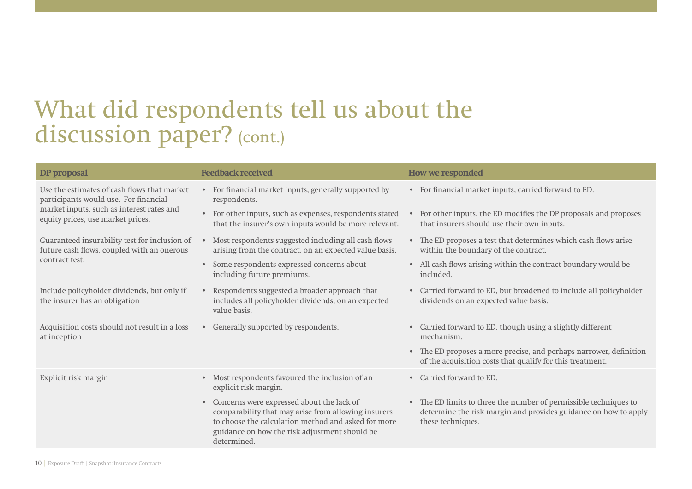## What did respondents tell us about the discussion paper? (cont.)

| DP proposal                                                                                                                                                            | <b>Feedback received</b>                                                                                                                                                                                                             | How we responded                                                                                                                                                    |
|------------------------------------------------------------------------------------------------------------------------------------------------------------------------|--------------------------------------------------------------------------------------------------------------------------------------------------------------------------------------------------------------------------------------|---------------------------------------------------------------------------------------------------------------------------------------------------------------------|
| Use the estimates of cash flows that market<br>participants would use. For financial<br>market inputs, such as interest rates and<br>equity prices, use market prices. | For financial market inputs, generally supported by<br>$\bullet$<br>respondents.                                                                                                                                                     | For financial market inputs, carried forward to ED.<br>$\bullet$                                                                                                    |
|                                                                                                                                                                        | For other inputs, such as expenses, respondents stated<br>$\bullet$<br>that the insurer's own inputs would be more relevant.                                                                                                         | For other inputs, the ED modifies the DP proposals and proposes<br>that insurers should use their own inputs.                                                       |
| Guaranteed insurability test for inclusion of<br>future cash flows, coupled with an onerous<br>contract test.                                                          | Most respondents suggested including all cash flows<br>$\bullet$<br>arising from the contract, on an expected value basis.                                                                                                           | • The ED proposes a test that determines which cash flows arise<br>within the boundary of the contract.                                                             |
|                                                                                                                                                                        | Some respondents expressed concerns about<br>$\bullet$<br>including future premiums.                                                                                                                                                 | • All cash flows arising within the contract boundary would be<br>included.                                                                                         |
| Include policyholder dividends, but only if<br>the insurer has an obligation                                                                                           | • Respondents suggested a broader approach that<br>includes all policyholder dividends, on an expected<br>value basis.                                                                                                               | Carried forward to ED, but broadened to include all policyholder<br>$\bullet$<br>dividends on an expected value basis.                                              |
| Acquisition costs should not result in a loss<br>at inception                                                                                                          | Generally supported by respondents.<br>$\bullet$                                                                                                                                                                                     | Carried forward to ED, though using a slightly different<br>$\bullet$<br>mechanism.                                                                                 |
|                                                                                                                                                                        |                                                                                                                                                                                                                                      | The ED proposes a more precise, and perhaps narrower, definition<br>$\bullet$<br>of the acquisition costs that qualify for this treatment.                          |
| Explicit risk margin                                                                                                                                                   | Most respondents favoured the inclusion of an<br>$\bullet$<br>explicit risk margin.                                                                                                                                                  | Carried forward to ED.<br>$\bullet$                                                                                                                                 |
|                                                                                                                                                                        | Concerns were expressed about the lack of<br>$\bullet$<br>comparability that may arise from allowing insurers<br>to choose the calculation method and asked for more<br>guidance on how the risk adjustment should be<br>determined. | The ED limits to three the number of permissible techniques to<br>$\bullet$<br>determine the risk margin and provides guidance on how to apply<br>these techniques. |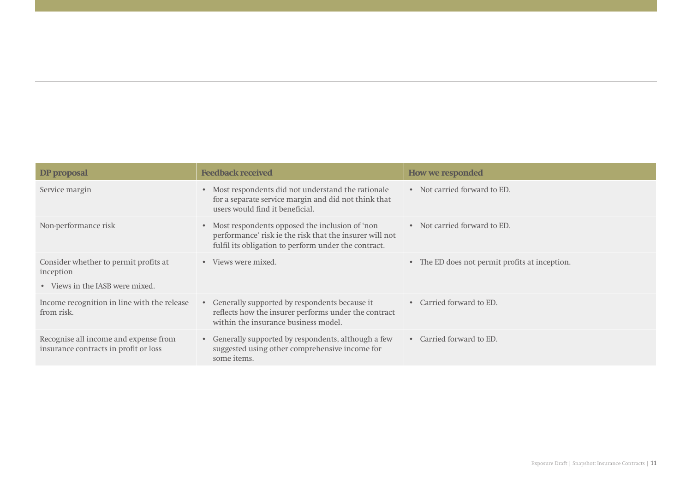| DP proposal                                                                           | <b>Feedback received</b>                                                                                                                                            | How we responded                                          |
|---------------------------------------------------------------------------------------|---------------------------------------------------------------------------------------------------------------------------------------------------------------------|-----------------------------------------------------------|
| Service margin                                                                        | Most respondents did not understand the rationale<br>for a separate service margin and did not think that<br>users would find it beneficial.                        | • Not carried forward to ED.                              |
| Non-performance risk                                                                  | • Most respondents opposed the inclusion of 'non<br>performance' risk ie the risk that the insurer will not<br>fulfil its obligation to perform under the contract. | • Not carried forward to ED.                              |
| Consider whether to permit profits at<br>inception<br>• Views in the IASB were mixed. | • Views were mixed.                                                                                                                                                 | The ED does not permit profits at inception.<br>$\bullet$ |
| Income recognition in line with the release<br>from risk.                             | Generally supported by respondents because it<br>$\bullet$<br>reflects how the insurer performs under the contract<br>within the insurance business model.          | Carried forward to ED.<br>$\bullet$                       |
| Recognise all income and expense from<br>insurance contracts in profit or loss        | Generally supported by respondents, although a few<br>$\bullet$<br>suggested using other comprehensive income for<br>some items.                                    | Carried forward to ED.<br>$\bullet$                       |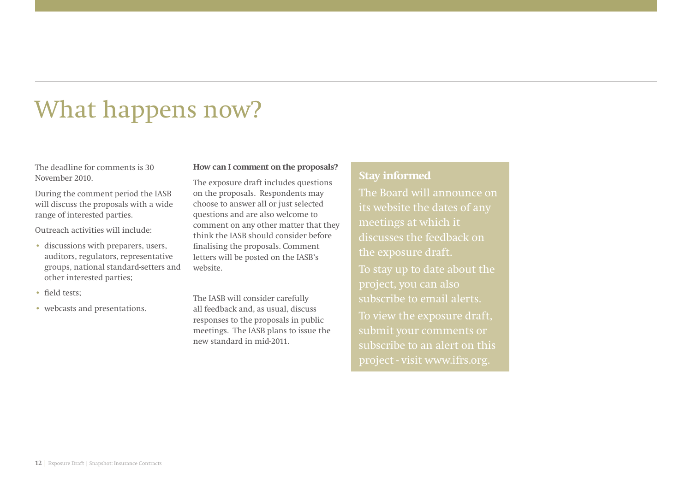## What happens now?

The deadline for comments is 30 November 2010.

During the comment period the IASB will discuss the proposals with a wide range of interested parties.

Outreach activities will include:

- discussions with preparers, users, auditors, regulators, representative groups, national standard-setters and other interested parties;
- field tests:
- webcasts and presentations.

**How can I comment on the proposals?**

The exposure draft includes questions on the proposals. Respondents may choose to answer all or just selected questions and are also welcome to comment on any other matter that they think the IASB should consider before finalising the proposals. Comment letters will be posted on the IASB's website.

The IASB will consider carefully all feedback and, as usual, discuss responses to the proposals in public meetings. The IASB plans to issue the new standard in mid-2011.

## **Stay informed**

The Board will announce on its website the dates of any meetings at which it discusses the feedback on the exposure draft. To stay up to date about the subscribe to email alerts.To view the exposure draft, submit your comments or subscribe to an alert on this project - visit www.ifrs.org.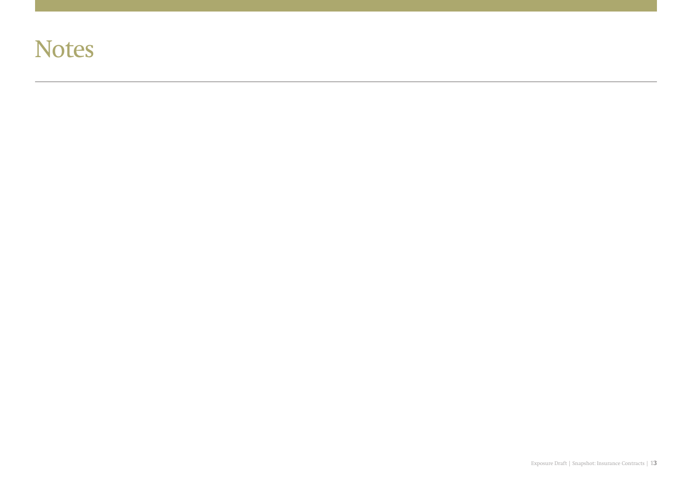## **Notes**